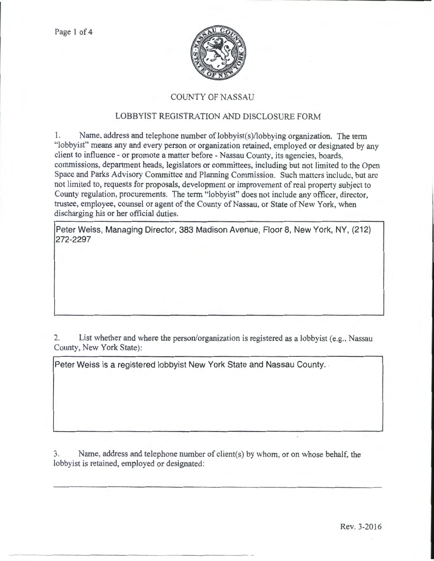

## COUNTY OF NASSAU

## LOBBYIST REGISTRATION AND DISCLOSURE FORM

1. Name, address and telephone number of lobbyist(s)/lobbying organization. The term "lobbyist" means any and every person or organization retained, employed or designated by any client to influence- or promote a matter before- Nassau County, its agencies, boards, commissions, department heads, legislators or committees, including but not limited to the Open Space and Parks Advisory Committee and Planning Commission. Such matters include, but arc not limited to, requests for proposals, development or improvement of real property subject to County regulation, procurements. The term "lobbyist" does not include any officer, director, trustee, employee, counsel or agent of the County of Nassau, or State of New York, when discharging his or her official duties.

Peter Weiss, Managing Director, 383 Madison Avenue, Floor 8, New York, NY, (212) 272-2297

2. List whether and where the person/organization is registered as a lobbyist (e.g., Nassau County, New York State):

Peter Weiss is a registered lobbyist New York State and Nassau County.

3. Name, address and telephone number of client(s) by whom. or on whose behalf. the lobbyist is retained, employed or designated: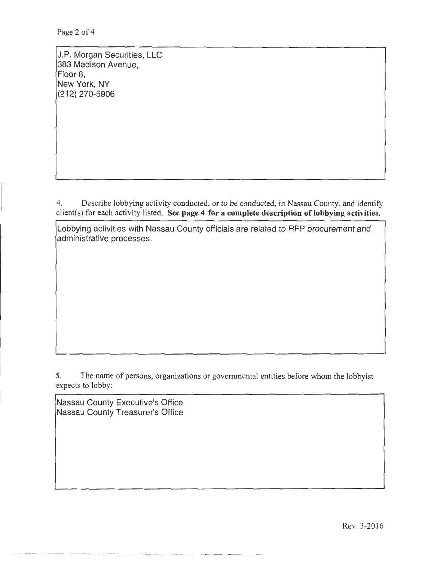Page 2 of 4

J.P. Morgan Securities, LLC 383 Madison Avenue, Floor 8, New York, NY (212) 270-5906

4. Describe lobbying activity conducted, or to be conducted, in Nassau County, and identify client(s) for each activity listed. See page 4 for a complete description of lobbying activities.

Lobbying activities with Nassau County officials are related to RFP procurement and administrative processes.

5. The name of persons, organizations or governmental entities before whom the lobbyist expects to lobby:

Nassau County Executive's Office Nassau County Treasurer's Office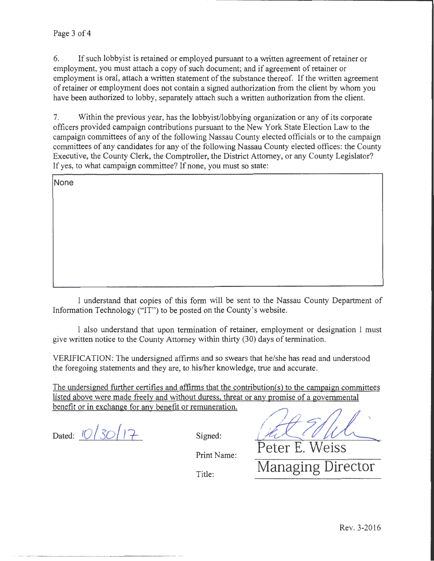6. If such lobbyist is retained or employed pursuant to a written agreement of retainer or employment, you must attach a copy of such document; and if agreement of retainer or employment is oral, attach a written statement of the substance thereof. If the written agreement of retainer or employment does not contain a signed authorization from the client by whom you have been authorized to lobby, separately attach such a written authorization from the client.

7. Within the previous year, has the lobbyist/lobbying organization or any of its corporate officers provided campaign contributions pursuant to the New York State Election Law to the campaign committees of any of the following Nassau County elected officials or to the campaign committees of any candidates for any of the following Nassau County elected offices: the County Executive, the County Clerk, the Comptroller, the District Attorney, or any County Legislator? If yes, to what campaign committee? If none, you must so state:

| None |  |  |  |
|------|--|--|--|
|      |  |  |  |
|      |  |  |  |
|      |  |  |  |
|      |  |  |  |
|      |  |  |  |
|      |  |  |  |

I understand that copies of this form will be sent to the Nassau County Department of Information Technology ("IT") to be posted on the County's website.

I also understand that upon termination of retainer, employment or designation I must give written notice to the County Attorney within thirty (30) days of termination.

VERIFICATION: The undersigned affirms and so swears that he/she has read and understood the foregoing statements and they are, to his/her knowledge, true and accurate.

The undersigned further certifies and affirms that the contribution(s) to the campaign committees listed above were made freely and without duress. threat or any promise of a governmental benefit or in exchange for any benefit or remuneration.

benefit or in exchange for any benefit or remuneration.<br>Dated: <u><sup>10</sup>/30</u>/17<br>Signed: **f2/1/1/1** Peter E. Weiss

Print Name:

Title: Managing Director